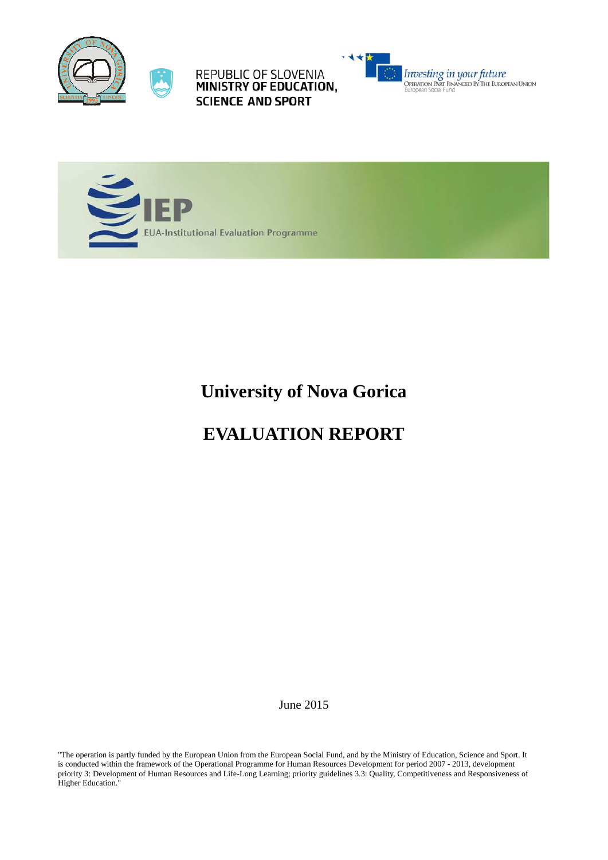



REPUBLIC OF SLOVENIA<br>MINISTRY OF EDUCATION, **SCIENCE AND SPORT** 





**University of Nova Gorica** 

# **EVALUATION REPORT**

June 2015

"The operation is partly funded by the European Union from the European Social Fund, and by the Ministry of Education, Science and Sport. It is conducted within the framework of the Operational Programme for Human Resources Development for period 2007 - 2013, development priority 3: Development of Human Resources and Life-Long Learning; priority guidelines 3.3: Quality, Competitiveness and Responsiveness of Higher Education."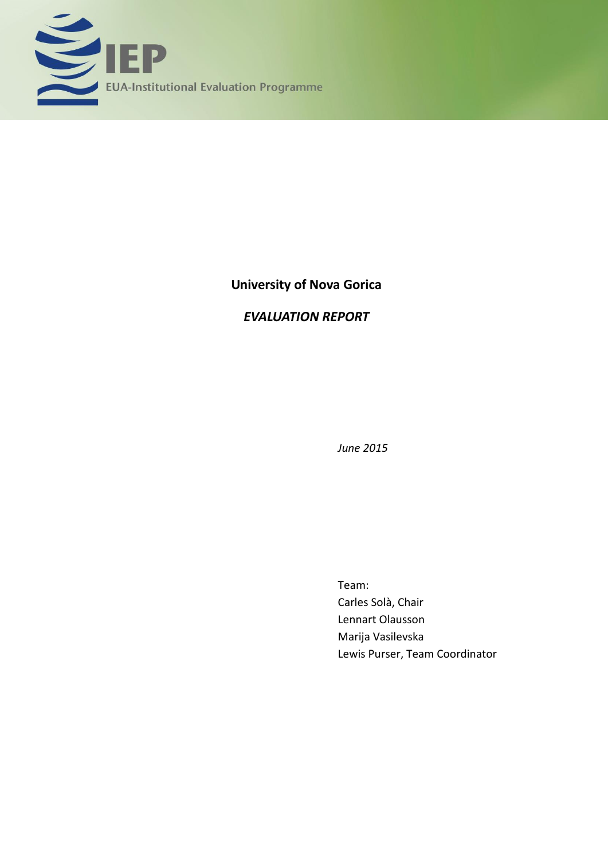

# **University of Nova Gorica**

# *EVALUATION REPORT*

*June 2015*

Team: Carles Solà, Chair Lennart Olausson Marija Vasilevska Lewis Purser, Team Coordinator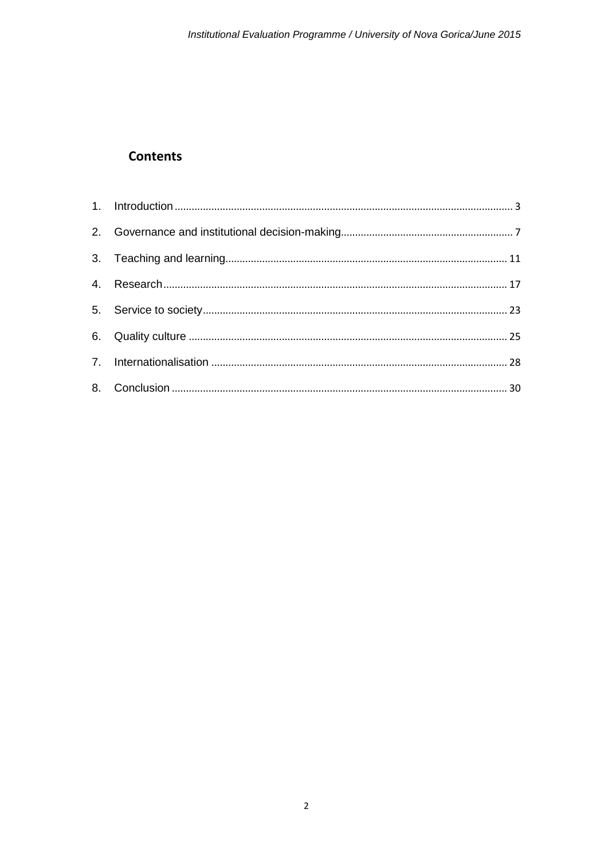# **Contents**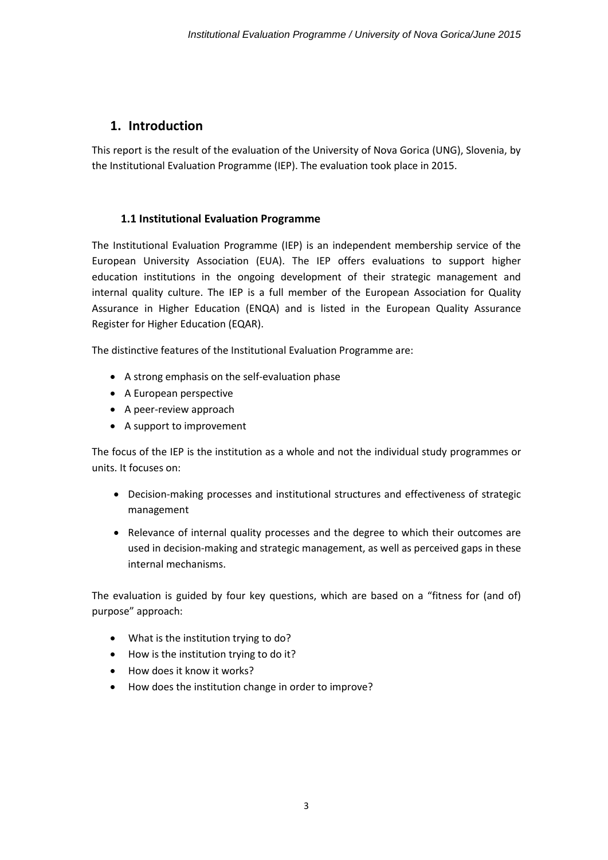## <span id="page-3-0"></span>**1. Introduction**

This report is the result of the evaluation of the University of Nova Gorica (UNG), Slovenia, by the Institutional Evaluation Programme (IEP). The evaluation took place in 2015.

### **1.1 Institutional Evaluation Programme**

The Institutional Evaluation Programme (IEP) is an independent membership service of the European University Association (EUA). The IEP offers evaluations to support higher education institutions in the ongoing development of their strategic management and internal quality culture. The IEP is a full member of the European Association for Quality Assurance in Higher Education (ENQA) and is listed in the European Quality Assurance Register for Higher Education (EQAR).

The distinctive features of the Institutional Evaluation Programme are:

- A strong emphasis on the self-evaluation phase
- A European perspective
- A peer-review approach
- A support to improvement

The focus of the IEP is the institution as a whole and not the individual study programmes or units. It focuses on:

- Decision-making processes and institutional structures and effectiveness of strategic management
- Relevance of internal quality processes and the degree to which their outcomes are used in decision-making and strategic management, as well as perceived gaps in these internal mechanisms.

The evaluation is guided by four key questions, which are based on a "fitness for (and of) purpose" approach:

- What is the institution trying to do?
- How is the institution trying to do it?
- How does it know it works?
- How does the institution change in order to improve?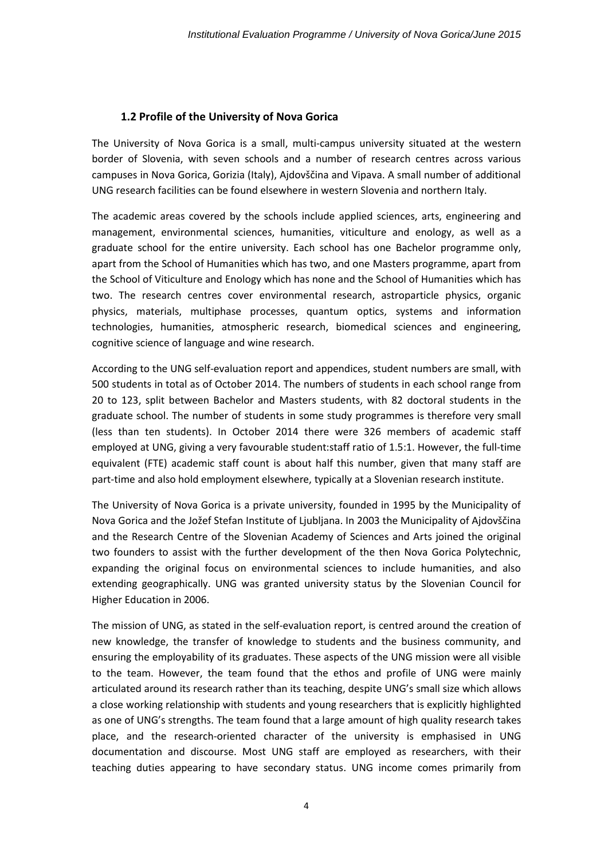#### **1.2 Profile of the University of Nova Gorica**

The University of Nova Gorica is a small, multi-campus university situated at the western border of Slovenia, with seven schools and a number of research centres across various campuses in Nova Gorica, Gorizia (Italy), Ajdovščina and Vipava. A small number of additional UNG research facilities can be found elsewhere in western Slovenia and northern Italy.

The academic areas covered by the schools include applied sciences, arts, engineering and management, environmental sciences, humanities, viticulture and enology, as well as a graduate school for the entire university. Each school has one Bachelor programme only, apart from the School of Humanities which has two, and one Masters programme, apart from the School of Viticulture and Enology which has none and the School of Humanities which has two. The research centres cover environmental research, astroparticle physics, organic physics, materials, multiphase processes, quantum optics, systems and information technologies, humanities, atmospheric research, biomedical sciences and engineering, cognitive science of language and wine research.

According to the UNG self-evaluation report and appendices, student numbers are small, with 500 students in total as of October 2014. The numbers of students in each school range from 20 to 123, split between Bachelor and Masters students, with 82 doctoral students in the graduate school. The number of students in some study programmes is therefore very small (less than ten students). In October 2014 there were 326 members of academic staff employed at UNG, giving a very favourable student:staff ratio of 1.5:1. However, the full-time equivalent (FTE) academic staff count is about half this number, given that many staff are part-time and also hold employment elsewhere, typically at a Slovenian research institute.

The University of Nova Gorica is a private university, founded in 1995 by the Municipality of Nova Gorica and the Jožef Stefan Institute of Ljubljana. In 2003 the Municipality of Ajdovščina and the Research Centre of the Slovenian Academy of Sciences and Arts joined the original two founders to assist with the further development of the then Nova Gorica Polytechnic, expanding the original focus on environmental sciences to include humanities, and also extending geographically. UNG was granted university status by the Slovenian Council for Higher Education in 2006.

The mission of UNG, as stated in the self-evaluation report, is centred around the creation of new knowledge, the transfer of knowledge to students and the business community, and ensuring the employability of its graduates. These aspects of the UNG mission were all visible to the team. However, the team found that the ethos and profile of UNG were mainly articulated around its research rather than its teaching, despite UNG's small size which allows a close working relationship with students and young researchers that is explicitly highlighted as one of UNG's strengths. The team found that a large amount of high quality research takes place, and the research-oriented character of the university is emphasised in UNG documentation and discourse. Most UNG staff are employed as researchers, with their teaching duties appearing to have secondary status. UNG income comes primarily from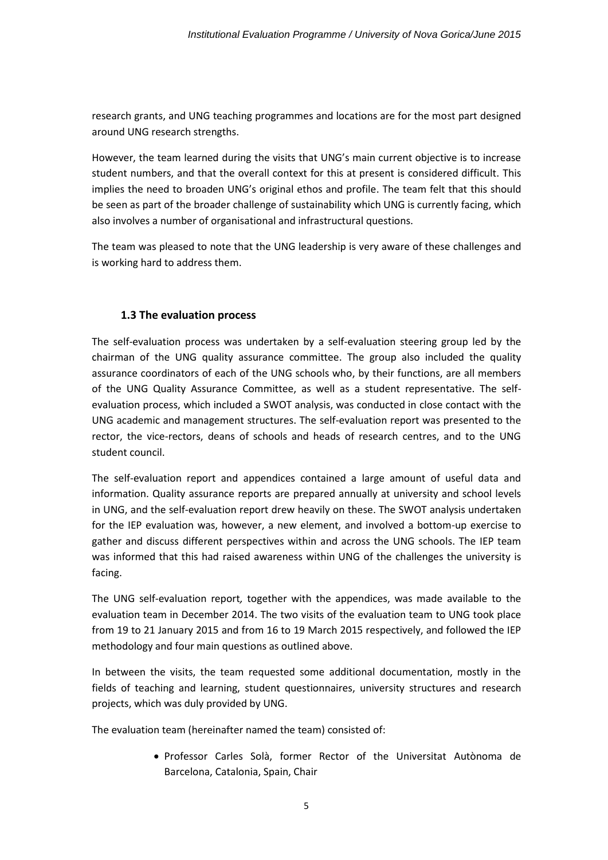research grants, and UNG teaching programmes and locations are for the most part designed around UNG research strengths.

However, the team learned during the visits that UNG's main current objective is to increase student numbers, and that the overall context for this at present is considered difficult. This implies the need to broaden UNG's original ethos and profile. The team felt that this should be seen as part of the broader challenge of sustainability which UNG is currently facing, which also involves a number of organisational and infrastructural questions.

The team was pleased to note that the UNG leadership is very aware of these challenges and is working hard to address them.

### **1.3 The evaluation process**

The self-evaluation process was undertaken by a self-evaluation steering group led by the chairman of the UNG quality assurance committee. The group also included the quality assurance coordinators of each of the UNG schools who, by their functions, are all members of the UNG Quality Assurance Committee, as well as a student representative. The selfevaluation process, which included a SWOT analysis, was conducted in close contact with the UNG academic and management structures. The self-evaluation report was presented to the rector, the vice-rectors, deans of schools and heads of research centres, and to the UNG student council.

The self-evaluation report and appendices contained a large amount of useful data and information. Quality assurance reports are prepared annually at university and school levels in UNG, and the self-evaluation report drew heavily on these. The SWOT analysis undertaken for the IEP evaluation was, however, a new element, and involved a bottom-up exercise to gather and discuss different perspectives within and across the UNG schools. The IEP team was informed that this had raised awareness within UNG of the challenges the university is facing.

The UNG self-evaluation report*,* together with the appendices, was made available to the evaluation team in December 2014. The two visits of the evaluation team to UNG took place from 19 to 21 January 2015 and from 16 to 19 March 2015 respectively, and followed the IEP methodology and four main questions as outlined above.

In between the visits, the team requested some additional documentation, mostly in the fields of teaching and learning, student questionnaires, university structures and research projects, which was duly provided by UNG.

The evaluation team (hereinafter named the team) consisted of:

 Professor Carles Solà, former Rector of the Universitat Autònoma de Barcelona, Catalonia, Spain, Chair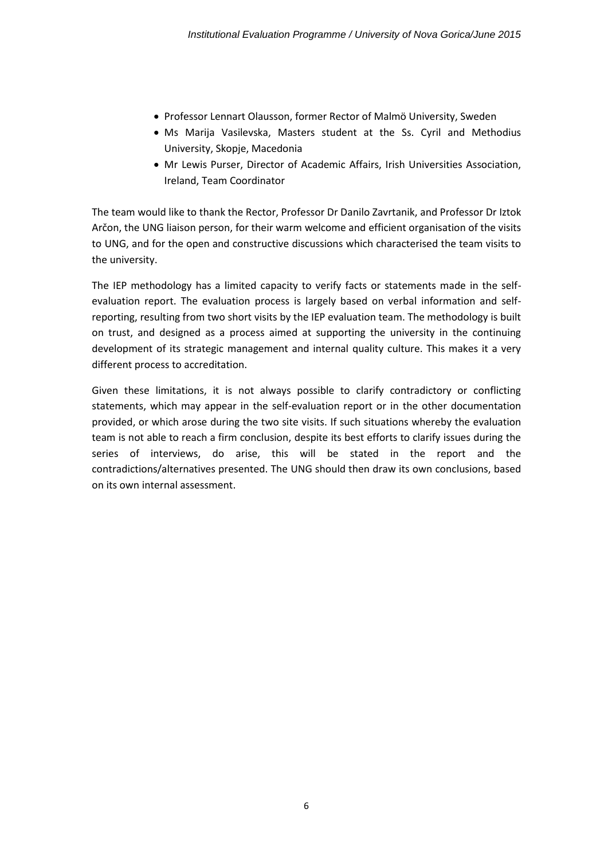- Professor Lennart Olausson, former Rector of Malmö University, Sweden
- Ms Marija Vasilevska, Masters student at the Ss. Cyril and Methodius University, Skopje, Macedonia
- Mr Lewis Purser, Director of Academic Affairs, Irish Universities Association, Ireland, Team Coordinator

The team would like to thank the Rector, Professor Dr Danilo Zavrtanik, and Professor Dr Iztok Arčon, the UNG liaison person, for their warm welcome and efficient organisation of the visits to UNG, and for the open and constructive discussions which characterised the team visits to the university.

The IEP methodology has a limited capacity to verify facts or statements made in the selfevaluation report. The evaluation process is largely based on verbal information and selfreporting, resulting from two short visits by the IEP evaluation team. The methodology is built on trust, and designed as a process aimed at supporting the university in the continuing development of its strategic management and internal quality culture. This makes it a very different process to accreditation.

Given these limitations, it is not always possible to clarify contradictory or conflicting statements, which may appear in the self-evaluation report or in the other documentation provided, or which arose during the two site visits. If such situations whereby the evaluation team is not able to reach a firm conclusion, despite its best efforts to clarify issues during the series of interviews, do arise, this will be stated in the report and the contradictions/alternatives presented. The UNG should then draw its own conclusions, based on its own internal assessment.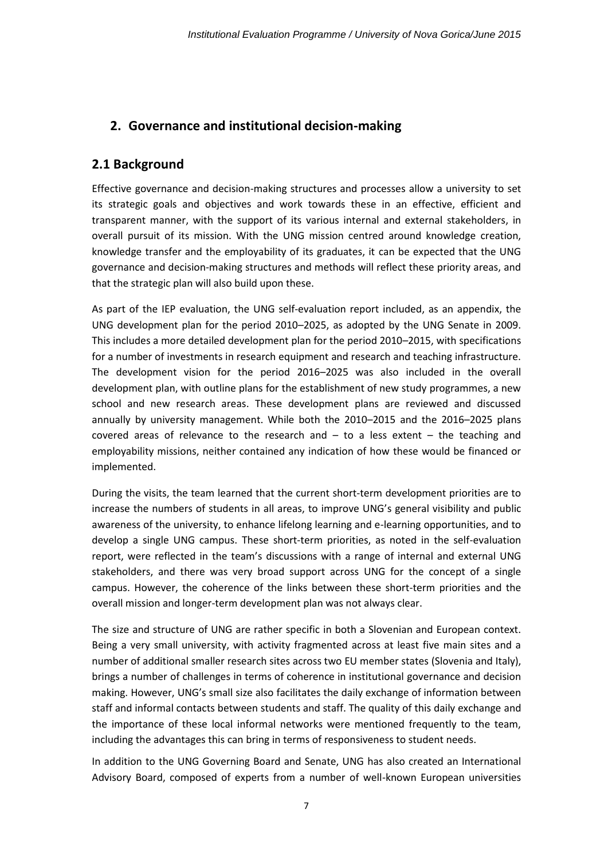# <span id="page-7-0"></span>**2. Governance and institutional decision-making**

### **2.1 Background**

Effective governance and decision-making structures and processes allow a university to set its strategic goals and objectives and work towards these in an effective, efficient and transparent manner, with the support of its various internal and external stakeholders, in overall pursuit of its mission. With the UNG mission centred around knowledge creation, knowledge transfer and the employability of its graduates, it can be expected that the UNG governance and decision-making structures and methods will reflect these priority areas, and that the strategic plan will also build upon these.

As part of the IEP evaluation, the UNG self-evaluation report included, as an appendix, the UNG development plan for the period 2010–2025, as adopted by the UNG Senate in 2009. This includes a more detailed development plan for the period 2010–2015, with specifications for a number of investments in research equipment and research and teaching infrastructure. The development vision for the period 2016–2025 was also included in the overall development plan, with outline plans for the establishment of new study programmes, a new school and new research areas. These development plans are reviewed and discussed annually by university management. While both the 2010–2015 and the 2016–2025 plans covered areas of relevance to the research and  $-$  to a less extent  $-$  the teaching and employability missions, neither contained any indication of how these would be financed or implemented.

During the visits, the team learned that the current short-term development priorities are to increase the numbers of students in all areas, to improve UNG's general visibility and public awareness of the university, to enhance lifelong learning and e-learning opportunities, and to develop a single UNG campus. These short-term priorities, as noted in the self-evaluation report, were reflected in the team's discussions with a range of internal and external UNG stakeholders, and there was very broad support across UNG for the concept of a single campus. However, the coherence of the links between these short-term priorities and the overall mission and longer-term development plan was not always clear.

The size and structure of UNG are rather specific in both a Slovenian and European context. Being a very small university, with activity fragmented across at least five main sites and a number of additional smaller research sites across two EU member states (Slovenia and Italy), brings a number of challenges in terms of coherence in institutional governance and decision making. However, UNG's small size also facilitates the daily exchange of information between staff and informal contacts between students and staff. The quality of this daily exchange and the importance of these local informal networks were mentioned frequently to the team, including the advantages this can bring in terms of responsiveness to student needs.

In addition to the UNG Governing Board and Senate, UNG has also created an International Advisory Board, composed of experts from a number of well-known European universities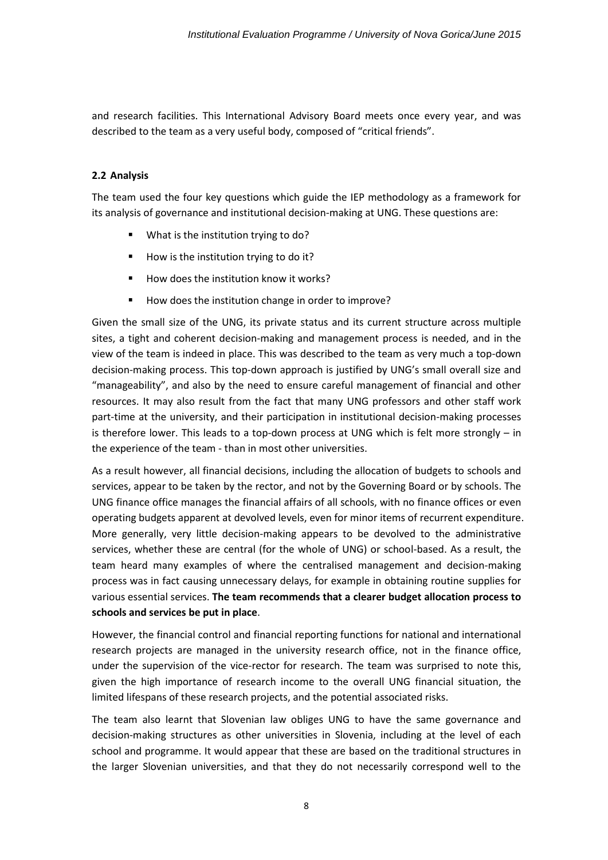and research facilities. This International Advisory Board meets once every year, and was described to the team as a very useful body, composed of "critical friends".

#### **2.2 Analysis**

The team used the four key questions which guide the IEP methodology as a framework for its analysis of governance and institutional decision-making at UNG. These questions are:

- What is the institution trying to do?
- How is the institution trying to do it?
- How does the institution know it works?
- How does the institution change in order to improve?

Given the small size of the UNG, its private status and its current structure across multiple sites, a tight and coherent decision-making and management process is needed, and in the view of the team is indeed in place. This was described to the team as very much a top-down decision-making process. This top-down approach is justified by UNG's small overall size and "manageability", and also by the need to ensure careful management of financial and other resources. It may also result from the fact that many UNG professors and other staff work part-time at the university, and their participation in institutional decision-making processes is therefore lower. This leads to a top-down process at UNG which is felt more strongly – in the experience of the team - than in most other universities.

As a result however, all financial decisions, including the allocation of budgets to schools and services, appear to be taken by the rector, and not by the Governing Board or by schools. The UNG finance office manages the financial affairs of all schools, with no finance offices or even operating budgets apparent at devolved levels, even for minor items of recurrent expenditure. More generally, very little decision-making appears to be devolved to the administrative services, whether these are central (for the whole of UNG) or school-based. As a result, the team heard many examples of where the centralised management and decision-making process was in fact causing unnecessary delays, for example in obtaining routine supplies for various essential services. **The team recommends that a clearer budget allocation process to schools and services be put in place**.

However, the financial control and financial reporting functions for national and international research projects are managed in the university research office, not in the finance office, under the supervision of the vice-rector for research. The team was surprised to note this, given the high importance of research income to the overall UNG financial situation, the limited lifespans of these research projects, and the potential associated risks.

The team also learnt that Slovenian law obliges UNG to have the same governance and decision-making structures as other universities in Slovenia, including at the level of each school and programme. It would appear that these are based on the traditional structures in the larger Slovenian universities, and that they do not necessarily correspond well to the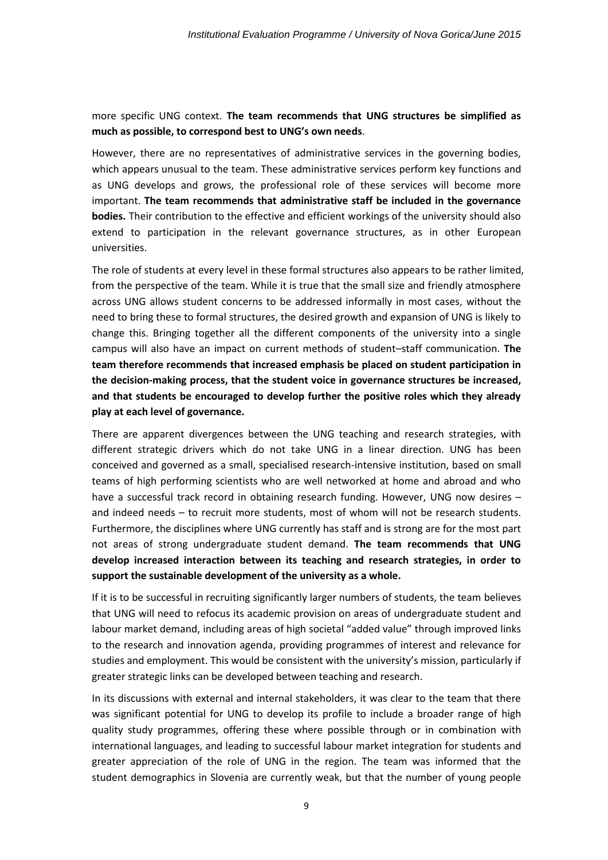### more specific UNG context. **The team recommends that UNG structures be simplified as much as possible, to correspond best to UNG's own needs**.

However, there are no representatives of administrative services in the governing bodies, which appears unusual to the team. These administrative services perform key functions and as UNG develops and grows, the professional role of these services will become more important. **The team recommends that administrative staff be included in the governance bodies.** Their contribution to the effective and efficient workings of the university should also extend to participation in the relevant governance structures, as in other European universities.

The role of students at every level in these formal structures also appears to be rather limited, from the perspective of the team. While it is true that the small size and friendly atmosphere across UNG allows student concerns to be addressed informally in most cases, without the need to bring these to formal structures, the desired growth and expansion of UNG is likely to change this. Bringing together all the different components of the university into a single campus will also have an impact on current methods of student–staff communication. **The team therefore recommends that increased emphasis be placed on student participation in the decision-making process, that the student voice in governance structures be increased, and that students be encouraged to develop further the positive roles which they already play at each level of governance.**

There are apparent divergences between the UNG teaching and research strategies, with different strategic drivers which do not take UNG in a linear direction. UNG has been conceived and governed as a small, specialised research-intensive institution, based on small teams of high performing scientists who are well networked at home and abroad and who have a successful track record in obtaining research funding. However, UNG now desires – and indeed needs – to recruit more students, most of whom will not be research students. Furthermore, the disciplines where UNG currently has staff and is strong are for the most part not areas of strong undergraduate student demand. **The team recommends that UNG develop increased interaction between its teaching and research strategies, in order to support the sustainable development of the university as a whole.**

If it is to be successful in recruiting significantly larger numbers of students, the team believes that UNG will need to refocus its academic provision on areas of undergraduate student and labour market demand, including areas of high societal "added value" through improved links to the research and innovation agenda, providing programmes of interest and relevance for studies and employment. This would be consistent with the university's mission, particularly if greater strategic links can be developed between teaching and research.

In its discussions with external and internal stakeholders, it was clear to the team that there was significant potential for UNG to develop its profile to include a broader range of high quality study programmes, offering these where possible through or in combination with international languages, and leading to successful labour market integration for students and greater appreciation of the role of UNG in the region. The team was informed that the student demographics in Slovenia are currently weak, but that the number of young people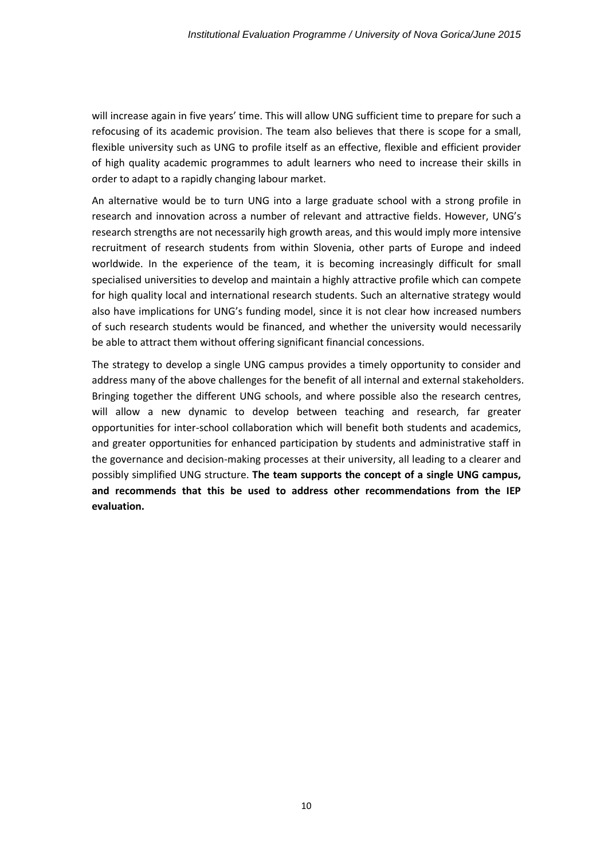will increase again in five years' time. This will allow UNG sufficient time to prepare for such a refocusing of its academic provision. The team also believes that there is scope for a small, flexible university such as UNG to profile itself as an effective, flexible and efficient provider of high quality academic programmes to adult learners who need to increase their skills in order to adapt to a rapidly changing labour market.

An alternative would be to turn UNG into a large graduate school with a strong profile in research and innovation across a number of relevant and attractive fields. However, UNG's research strengths are not necessarily high growth areas, and this would imply more intensive recruitment of research students from within Slovenia, other parts of Europe and indeed worldwide. In the experience of the team, it is becoming increasingly difficult for small specialised universities to develop and maintain a highly attractive profile which can compete for high quality local and international research students. Such an alternative strategy would also have implications for UNG's funding model, since it is not clear how increased numbers of such research students would be financed, and whether the university would necessarily be able to attract them without offering significant financial concessions.

The strategy to develop a single UNG campus provides a timely opportunity to consider and address many of the above challenges for the benefit of all internal and external stakeholders. Bringing together the different UNG schools, and where possible also the research centres, will allow a new dynamic to develop between teaching and research, far greater opportunities for inter-school collaboration which will benefit both students and academics, and greater opportunities for enhanced participation by students and administrative staff in the governance and decision-making processes at their university, all leading to a clearer and possibly simplified UNG structure. **The team supports the concept of a single UNG campus, and recommends that this be used to address other recommendations from the IEP evaluation.**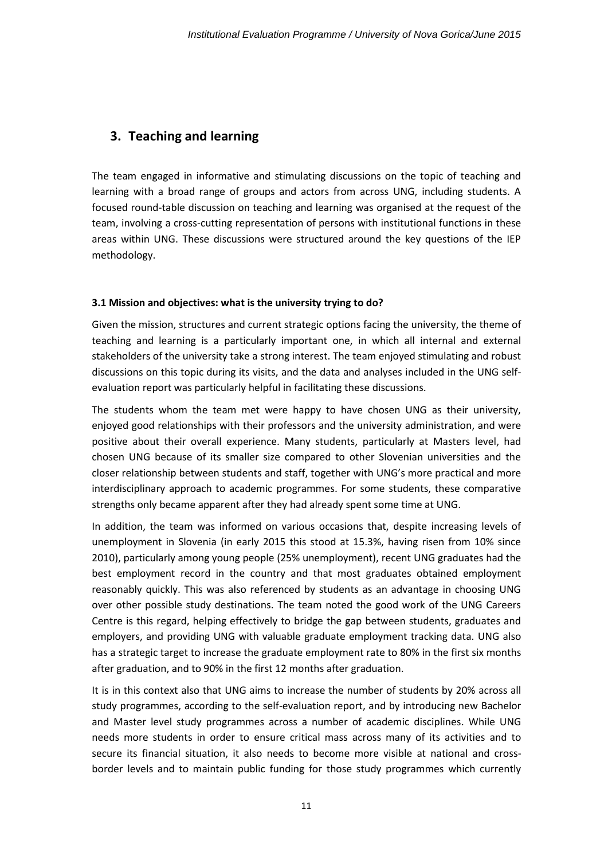# <span id="page-11-0"></span>**3. Teaching and learning**

The team engaged in informative and stimulating discussions on the topic of teaching and learning with a broad range of groups and actors from across UNG, including students. A focused round-table discussion on teaching and learning was organised at the request of the team, involving a cross-cutting representation of persons with institutional functions in these areas within UNG. These discussions were structured around the key questions of the IEP methodology.

### **3.1 Mission and objectives: what is the university trying to do?**

Given the mission, structures and current strategic options facing the university, the theme of teaching and learning is a particularly important one, in which all internal and external stakeholders of the university take a strong interest. The team enjoyed stimulating and robust discussions on this topic during its visits, and the data and analyses included in the UNG selfevaluation report was particularly helpful in facilitating these discussions.

The students whom the team met were happy to have chosen UNG as their university, enjoyed good relationships with their professors and the university administration, and were positive about their overall experience. Many students, particularly at Masters level, had chosen UNG because of its smaller size compared to other Slovenian universities and the closer relationship between students and staff, together with UNG's more practical and more interdisciplinary approach to academic programmes. For some students, these comparative strengths only became apparent after they had already spent some time at UNG.

In addition, the team was informed on various occasions that, despite increasing levels of unemployment in Slovenia (in early 2015 this stood at 15.3%, having risen from 10% since 2010), particularly among young people (25% unemployment), recent UNG graduates had the best employment record in the country and that most graduates obtained employment reasonably quickly. This was also referenced by students as an advantage in choosing UNG over other possible study destinations. The team noted the good work of the UNG Careers Centre is this regard, helping effectively to bridge the gap between students, graduates and employers, and providing UNG with valuable graduate employment tracking data. UNG also has a strategic target to increase the graduate employment rate to 80% in the first six months after graduation, and to 90% in the first 12 months after graduation.

It is in this context also that UNG aims to increase the number of students by 20% across all study programmes, according to the self-evaluation report, and by introducing new Bachelor and Master level study programmes across a number of academic disciplines. While UNG needs more students in order to ensure critical mass across many of its activities and to secure its financial situation, it also needs to become more visible at national and crossborder levels and to maintain public funding for those study programmes which currently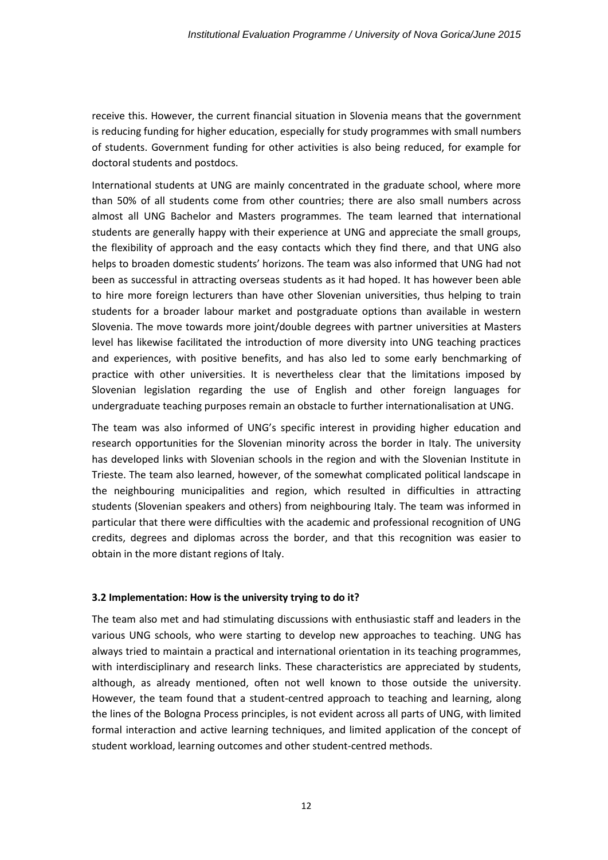receive this. However, the current financial situation in Slovenia means that the government is reducing funding for higher education, especially for study programmes with small numbers of students. Government funding for other activities is also being reduced, for example for doctoral students and postdocs.

International students at UNG are mainly concentrated in the graduate school, where more than 50% of all students come from other countries; there are also small numbers across almost all UNG Bachelor and Masters programmes. The team learned that international students are generally happy with their experience at UNG and appreciate the small groups, the flexibility of approach and the easy contacts which they find there, and that UNG also helps to broaden domestic students' horizons. The team was also informed that UNG had not been as successful in attracting overseas students as it had hoped. It has however been able to hire more foreign lecturers than have other Slovenian universities, thus helping to train students for a broader labour market and postgraduate options than available in western Slovenia. The move towards more joint/double degrees with partner universities at Masters level has likewise facilitated the introduction of more diversity into UNG teaching practices and experiences, with positive benefits, and has also led to some early benchmarking of practice with other universities. It is nevertheless clear that the limitations imposed by Slovenian legislation regarding the use of English and other foreign languages for undergraduate teaching purposes remain an obstacle to further internationalisation at UNG.

The team was also informed of UNG's specific interest in providing higher education and research opportunities for the Slovenian minority across the border in Italy. The university has developed links with Slovenian schools in the region and with the Slovenian Institute in Trieste. The team also learned, however, of the somewhat complicated political landscape in the neighbouring municipalities and region, which resulted in difficulties in attracting students (Slovenian speakers and others) from neighbouring Italy. The team was informed in particular that there were difficulties with the academic and professional recognition of UNG credits, degrees and diplomas across the border, and that this recognition was easier to obtain in the more distant regions of Italy.

#### **3.2 Implementation: How is the university trying to do it?**

The team also met and had stimulating discussions with enthusiastic staff and leaders in the various UNG schools, who were starting to develop new approaches to teaching. UNG has always tried to maintain a practical and international orientation in its teaching programmes, with interdisciplinary and research links. These characteristics are appreciated by students, although, as already mentioned, often not well known to those outside the university. However, the team found that a student-centred approach to teaching and learning, along the lines of the Bologna Process principles, is not evident across all parts of UNG, with limited formal interaction and active learning techniques, and limited application of the concept of student workload, learning outcomes and other student-centred methods.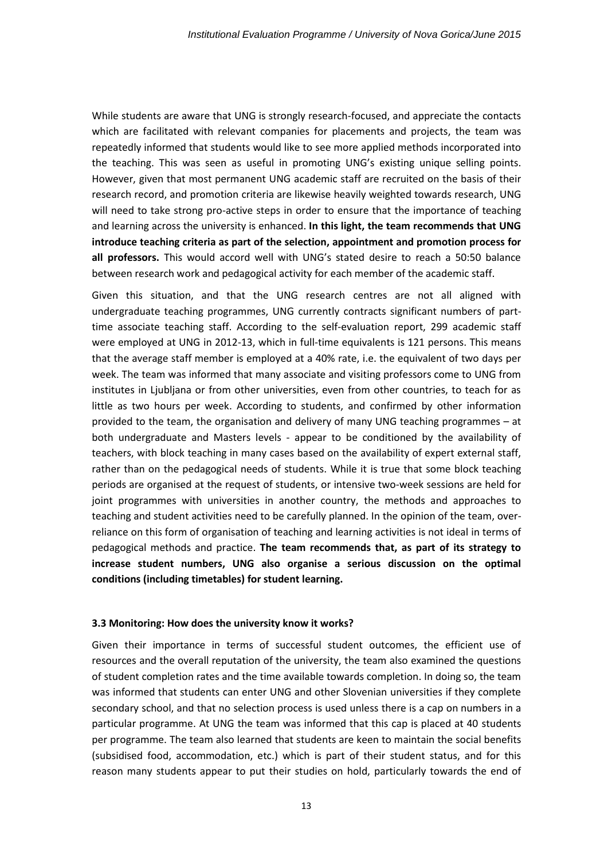While students are aware that UNG is strongly research-focused, and appreciate the contacts which are facilitated with relevant companies for placements and projects, the team was repeatedly informed that students would like to see more applied methods incorporated into the teaching. This was seen as useful in promoting UNG's existing unique selling points. However, given that most permanent UNG academic staff are recruited on the basis of their research record, and promotion criteria are likewise heavily weighted towards research, UNG will need to take strong pro-active steps in order to ensure that the importance of teaching and learning across the university is enhanced. **In this light, the team recommends that UNG introduce teaching criteria as part of the selection, appointment and promotion process for all professors.** This would accord well with UNG's stated desire to reach a 50:50 balance between research work and pedagogical activity for each member of the academic staff.

Given this situation, and that the UNG research centres are not all aligned with undergraduate teaching programmes, UNG currently contracts significant numbers of parttime associate teaching staff. According to the self-evaluation report, 299 academic staff were employed at UNG in 2012-13, which in full-time equivalents is 121 persons. This means that the average staff member is employed at a 40% rate, i.e. the equivalent of two days per week. The team was informed that many associate and visiting professors come to UNG from institutes in Ljubljana or from other universities, even from other countries, to teach for as little as two hours per week. According to students, and confirmed by other information provided to the team, the organisation and delivery of many UNG teaching programmes – at both undergraduate and Masters levels - appear to be conditioned by the availability of teachers, with block teaching in many cases based on the availability of expert external staff, rather than on the pedagogical needs of students. While it is true that some block teaching periods are organised at the request of students, or intensive two-week sessions are held for joint programmes with universities in another country, the methods and approaches to teaching and student activities need to be carefully planned. In the opinion of the team, overreliance on this form of organisation of teaching and learning activities is not ideal in terms of pedagogical methods and practice. **The team recommends that, as part of its strategy to increase student numbers, UNG also organise a serious discussion on the optimal conditions (including timetables) for student learning.**

#### **3.3 Monitoring: How does the university know it works?**

Given their importance in terms of successful student outcomes, the efficient use of resources and the overall reputation of the university, the team also examined the questions of student completion rates and the time available towards completion. In doing so, the team was informed that students can enter UNG and other Slovenian universities if they complete secondary school, and that no selection process is used unless there is a cap on numbers in a particular programme. At UNG the team was informed that this cap is placed at 40 students per programme. The team also learned that students are keen to maintain the social benefits (subsidised food, accommodation, etc.) which is part of their student status, and for this reason many students appear to put their studies on hold, particularly towards the end of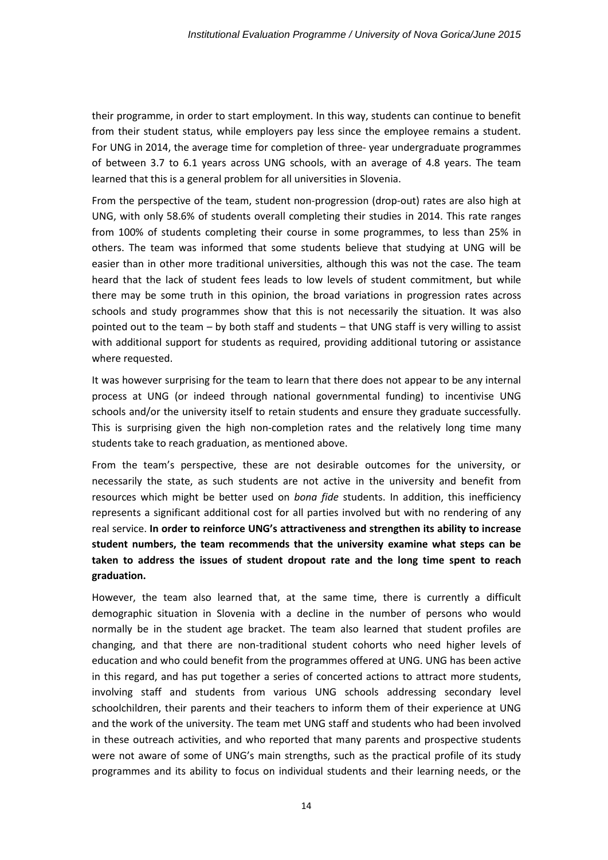their programme, in order to start employment. In this way, students can continue to benefit from their student status, while employers pay less since the employee remains a student. For UNG in 2014, the average time for completion of three- year undergraduate programmes of between 3.7 to 6.1 years across UNG schools, with an average of 4.8 years. The team learned that this is a general problem for all universities in Slovenia.

From the perspective of the team, student non-progression (drop-out) rates are also high at UNG, with only 58.6% of students overall completing their studies in 2014. This rate ranges from 100% of students completing their course in some programmes, to less than 25% in others. The team was informed that some students believe that studying at UNG will be easier than in other more traditional universities, although this was not the case. The team heard that the lack of student fees leads to low levels of student commitment, but while there may be some truth in this opinion, the broad variations in progression rates across schools and study programmes show that this is not necessarily the situation. It was also pointed out to the team – by both staff and students – that UNG staff is very willing to assist with additional support for students as required, providing additional tutoring or assistance where requested.

It was however surprising for the team to learn that there does not appear to be any internal process at UNG (or indeed through national governmental funding) to incentivise UNG schools and/or the university itself to retain students and ensure they graduate successfully. This is surprising given the high non-completion rates and the relatively long time many students take to reach graduation, as mentioned above.

From the team's perspective, these are not desirable outcomes for the university, or necessarily the state, as such students are not active in the university and benefit from resources which might be better used on *bona fide* students. In addition, this inefficiency represents a significant additional cost for all parties involved but with no rendering of any real service. **In order to reinforce UNG's attractiveness and strengthen its ability to increase student numbers, the team recommends that the university examine what steps can be taken to address the issues of student dropout rate and the long time spent to reach graduation.**

However, the team also learned that, at the same time, there is currently a difficult demographic situation in Slovenia with a decline in the number of persons who would normally be in the student age bracket. The team also learned that student profiles are changing, and that there are non-traditional student cohorts who need higher levels of education and who could benefit from the programmes offered at UNG. UNG has been active in this regard, and has put together a series of concerted actions to attract more students, involving staff and students from various UNG schools addressing secondary level schoolchildren, their parents and their teachers to inform them of their experience at UNG and the work of the university. The team met UNG staff and students who had been involved in these outreach activities, and who reported that many parents and prospective students were not aware of some of UNG's main strengths, such as the practical profile of its study programmes and its ability to focus on individual students and their learning needs, or the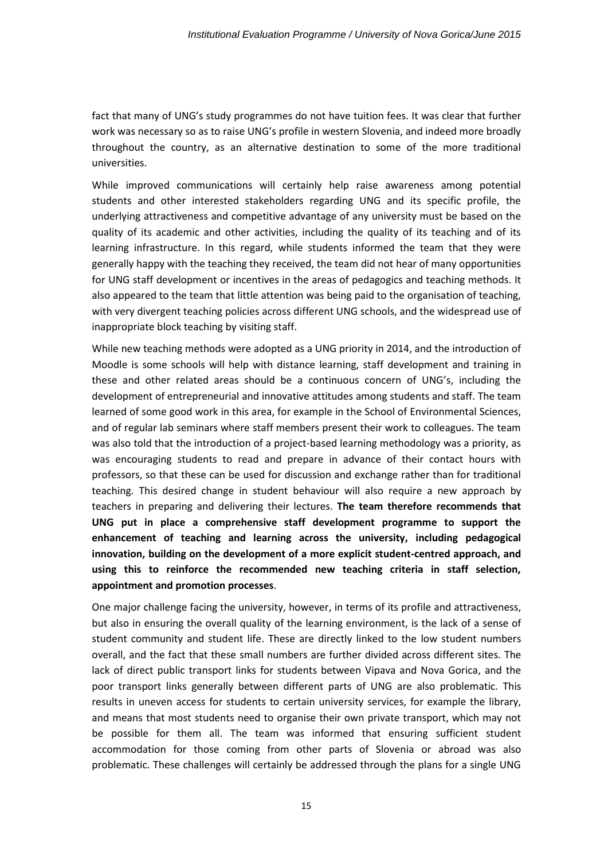fact that many of UNG's study programmes do not have tuition fees. It was clear that further work was necessary so as to raise UNG's profile in western Slovenia, and indeed more broadly throughout the country, as an alternative destination to some of the more traditional universities.

While improved communications will certainly help raise awareness among potential students and other interested stakeholders regarding UNG and its specific profile, the underlying attractiveness and competitive advantage of any university must be based on the quality of its academic and other activities, including the quality of its teaching and of its learning infrastructure. In this regard, while students informed the team that they were generally happy with the teaching they received, the team did not hear of many opportunities for UNG staff development or incentives in the areas of pedagogics and teaching methods. It also appeared to the team that little attention was being paid to the organisation of teaching, with very divergent teaching policies across different UNG schools, and the widespread use of inappropriate block teaching by visiting staff.

While new teaching methods were adopted as a UNG priority in 2014, and the introduction of Moodle is some schools will help with distance learning, staff development and training in these and other related areas should be a continuous concern of UNG's, including the development of entrepreneurial and innovative attitudes among students and staff. The team learned of some good work in this area, for example in the School of Environmental Sciences, and of regular lab seminars where staff members present their work to colleagues. The team was also told that the introduction of a project-based learning methodology was a priority, as was encouraging students to read and prepare in advance of their contact hours with professors, so that these can be used for discussion and exchange rather than for traditional teaching. This desired change in student behaviour will also require a new approach by teachers in preparing and delivering their lectures. **The team therefore recommends that UNG put in place a comprehensive staff development programme to support the enhancement of teaching and learning across the university, including pedagogical innovation, building on the development of a more explicit student-centred approach, and using this to reinforce the recommended new teaching criteria in staff selection, appointment and promotion processes**.

One major challenge facing the university, however, in terms of its profile and attractiveness, but also in ensuring the overall quality of the learning environment, is the lack of a sense of student community and student life. These are directly linked to the low student numbers overall, and the fact that these small numbers are further divided across different sites. The lack of direct public transport links for students between Vipava and Nova Gorica, and the poor transport links generally between different parts of UNG are also problematic. This results in uneven access for students to certain university services, for example the library, and means that most students need to organise their own private transport, which may not be possible for them all. The team was informed that ensuring sufficient student accommodation for those coming from other parts of Slovenia or abroad was also problematic. These challenges will certainly be addressed through the plans for a single UNG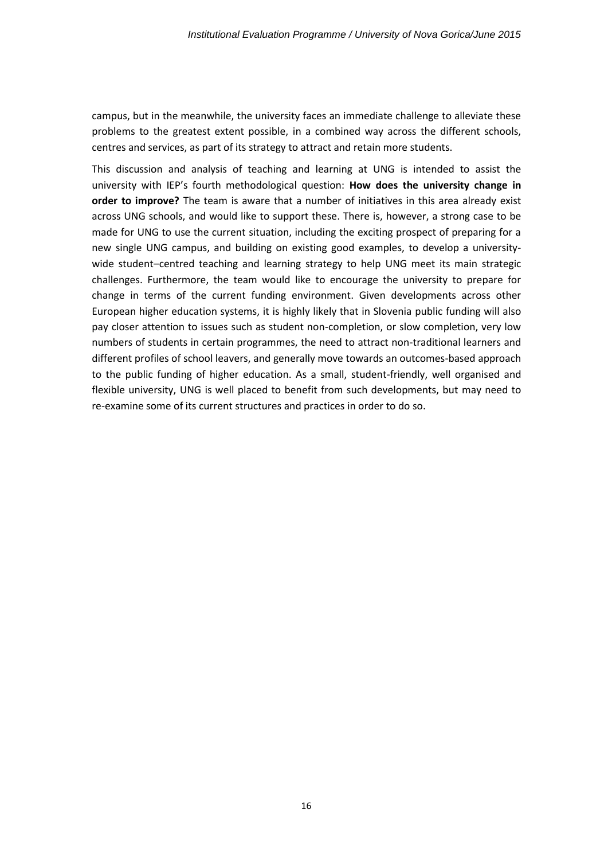campus, but in the meanwhile, the university faces an immediate challenge to alleviate these problems to the greatest extent possible, in a combined way across the different schools, centres and services, as part of its strategy to attract and retain more students.

This discussion and analysis of teaching and learning at UNG is intended to assist the university with IEP's fourth methodological question: **How does the university change in order to improve?** The team is aware that a number of initiatives in this area already exist across UNG schools, and would like to support these. There is, however, a strong case to be made for UNG to use the current situation, including the exciting prospect of preparing for a new single UNG campus, and building on existing good examples, to develop a universitywide student–centred teaching and learning strategy to help UNG meet its main strategic challenges. Furthermore, the team would like to encourage the university to prepare for change in terms of the current funding environment. Given developments across other European higher education systems, it is highly likely that in Slovenia public funding will also pay closer attention to issues such as student non-completion, or slow completion, very low numbers of students in certain programmes, the need to attract non-traditional learners and different profiles of school leavers, and generally move towards an outcomes-based approach to the public funding of higher education. As a small, student-friendly, well organised and flexible university, UNG is well placed to benefit from such developments, but may need to re-examine some of its current structures and practices in order to do so.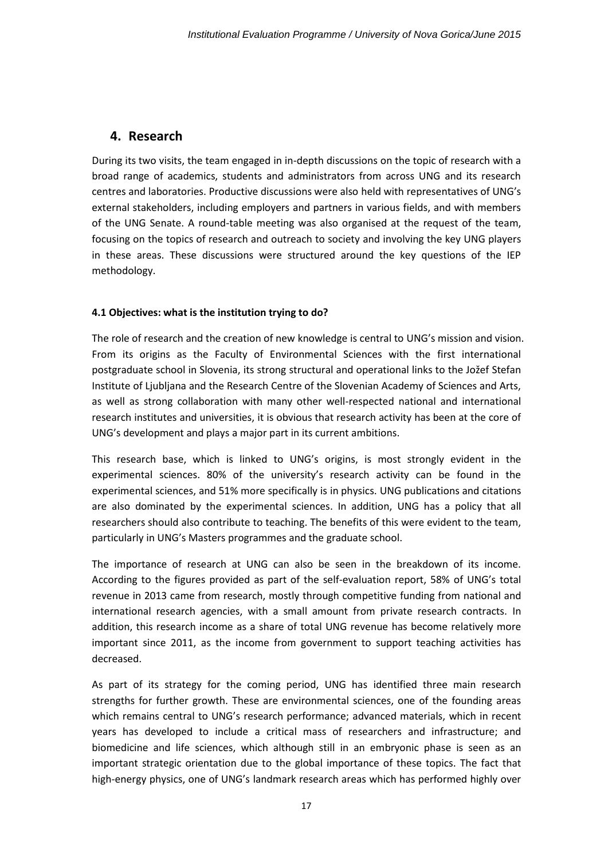### <span id="page-17-0"></span>**4. Research**

During its two visits, the team engaged in in-depth discussions on the topic of research with a broad range of academics, students and administrators from across UNG and its research centres and laboratories. Productive discussions were also held with representatives of UNG's external stakeholders, including employers and partners in various fields, and with members of the UNG Senate. A round-table meeting was also organised at the request of the team, focusing on the topics of research and outreach to society and involving the key UNG players in these areas. These discussions were structured around the key questions of the IEP methodology.

### **4.1 Objectives: what is the institution trying to do?**

The role of research and the creation of new knowledge is central to UNG's mission and vision. From its origins as the Faculty of Environmental Sciences with the first international postgraduate school in Slovenia, its strong structural and operational links to the Jožef Stefan Institute of Ljubljana and the Research Centre of the Slovenian Academy of Sciences and Arts, as well as strong collaboration with many other well-respected national and international research institutes and universities, it is obvious that research activity has been at the core of UNG's development and plays a major part in its current ambitions.

This research base, which is linked to UNG's origins, is most strongly evident in the experimental sciences. 80% of the university's research activity can be found in the experimental sciences, and 51% more specifically is in physics. UNG publications and citations are also dominated by the experimental sciences. In addition, UNG has a policy that all researchers should also contribute to teaching. The benefits of this were evident to the team, particularly in UNG's Masters programmes and the graduate school.

The importance of research at UNG can also be seen in the breakdown of its income. According to the figures provided as part of the self-evaluation report, 58% of UNG's total revenue in 2013 came from research, mostly through competitive funding from national and international research agencies, with a small amount from private research contracts. In addition, this research income as a share of total UNG revenue has become relatively more important since 2011, as the income from government to support teaching activities has decreased.

As part of its strategy for the coming period, UNG has identified three main research strengths for further growth. These are environmental sciences, one of the founding areas which remains central to UNG's research performance; advanced materials, which in recent years has developed to include a critical mass of researchers and infrastructure; and biomedicine and life sciences, which although still in an embryonic phase is seen as an important strategic orientation due to the global importance of these topics. The fact that high-energy physics, one of UNG's landmark research areas which has performed highly over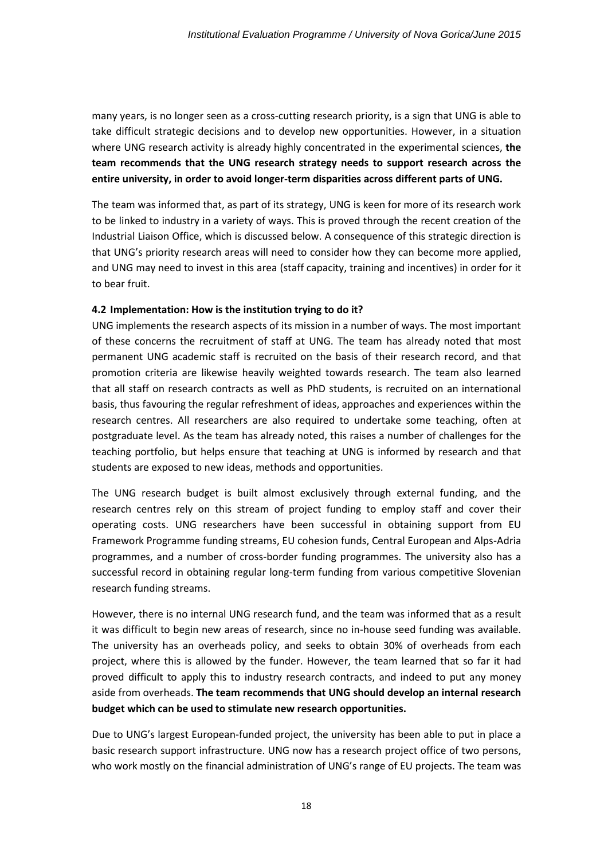many years, is no longer seen as a cross-cutting research priority, is a sign that UNG is able to take difficult strategic decisions and to develop new opportunities. However, in a situation where UNG research activity is already highly concentrated in the experimental sciences, **the team recommends that the UNG research strategy needs to support research across the entire university, in order to avoid longer-term disparities across different parts of UNG.** 

The team was informed that, as part of its strategy, UNG is keen for more of its research work to be linked to industry in a variety of ways. This is proved through the recent creation of the Industrial Liaison Office, which is discussed below. A consequence of this strategic direction is that UNG's priority research areas will need to consider how they can become more applied, and UNG may need to invest in this area (staff capacity, training and incentives) in order for it to bear fruit.

#### **4.2 Implementation: How is the institution trying to do it?**

UNG implements the research aspects of its mission in a number of ways. The most important of these concerns the recruitment of staff at UNG. The team has already noted that most permanent UNG academic staff is recruited on the basis of their research record, and that promotion criteria are likewise heavily weighted towards research. The team also learned that all staff on research contracts as well as PhD students, is recruited on an international basis, thus favouring the regular refreshment of ideas, approaches and experiences within the research centres. All researchers are also required to undertake some teaching, often at postgraduate level. As the team has already noted, this raises a number of challenges for the teaching portfolio, but helps ensure that teaching at UNG is informed by research and that students are exposed to new ideas, methods and opportunities.

The UNG research budget is built almost exclusively through external funding, and the research centres rely on this stream of project funding to employ staff and cover their operating costs. UNG researchers have been successful in obtaining support from EU Framework Programme funding streams, EU cohesion funds, Central European and Alps-Adria programmes, and a number of cross-border funding programmes. The university also has a successful record in obtaining regular long-term funding from various competitive Slovenian research funding streams.

However, there is no internal UNG research fund, and the team was informed that as a result it was difficult to begin new areas of research, since no in-house seed funding was available. The university has an overheads policy, and seeks to obtain 30% of overheads from each project, where this is allowed by the funder. However, the team learned that so far it had proved difficult to apply this to industry research contracts, and indeed to put any money aside from overheads. **The team recommends that UNG should develop an internal research budget which can be used to stimulate new research opportunities.**

Due to UNG's largest European-funded project, the university has been able to put in place a basic research support infrastructure. UNG now has a research project office of two persons, who work mostly on the financial administration of UNG's range of EU projects. The team was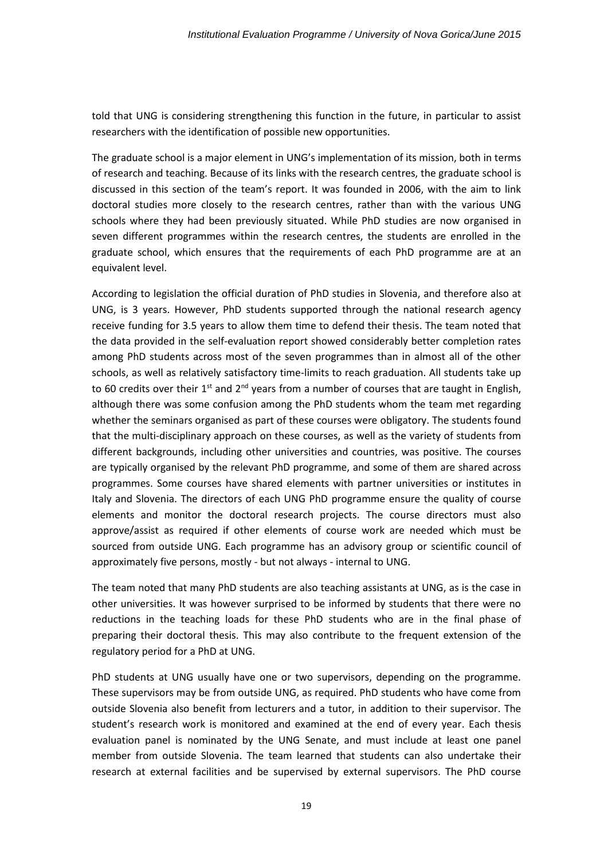told that UNG is considering strengthening this function in the future, in particular to assist researchers with the identification of possible new opportunities.

The graduate school is a major element in UNG's implementation of its mission, both in terms of research and teaching. Because of its links with the research centres, the graduate school is discussed in this section of the team's report. It was founded in 2006, with the aim to link doctoral studies more closely to the research centres, rather than with the various UNG schools where they had been previously situated. While PhD studies are now organised in seven different programmes within the research centres, the students are enrolled in the graduate school, which ensures that the requirements of each PhD programme are at an equivalent level.

According to legislation the official duration of PhD studies in Slovenia, and therefore also at UNG, is 3 years. However, PhD students supported through the national research agency receive funding for 3.5 years to allow them time to defend their thesis. The team noted that the data provided in the self-evaluation report showed considerably better completion rates among PhD students across most of the seven programmes than in almost all of the other schools, as well as relatively satisfactory time-limits to reach graduation. All students take up to 60 credits over their  $1^{st}$  and  $2^{nd}$  years from a number of courses that are taught in English, although there was some confusion among the PhD students whom the team met regarding whether the seminars organised as part of these courses were obligatory. The students found that the multi-disciplinary approach on these courses, as well as the variety of students from different backgrounds, including other universities and countries, was positive. The courses are typically organised by the relevant PhD programme, and some of them are shared across programmes. Some courses have shared elements with partner universities or institutes in Italy and Slovenia. The directors of each UNG PhD programme ensure the quality of course elements and monitor the doctoral research projects. The course directors must also approve/assist as required if other elements of course work are needed which must be sourced from outside UNG. Each programme has an advisory group or scientific council of approximately five persons, mostly - but not always - internal to UNG.

The team noted that many PhD students are also teaching assistants at UNG, as is the case in other universities. It was however surprised to be informed by students that there were no reductions in the teaching loads for these PhD students who are in the final phase of preparing their doctoral thesis. This may also contribute to the frequent extension of the regulatory period for a PhD at UNG.

PhD students at UNG usually have one or two supervisors, depending on the programme. These supervisors may be from outside UNG, as required. PhD students who have come from outside Slovenia also benefit from lecturers and a tutor, in addition to their supervisor. The student's research work is monitored and examined at the end of every year. Each thesis evaluation panel is nominated by the UNG Senate, and must include at least one panel member from outside Slovenia. The team learned that students can also undertake their research at external facilities and be supervised by external supervisors. The PhD course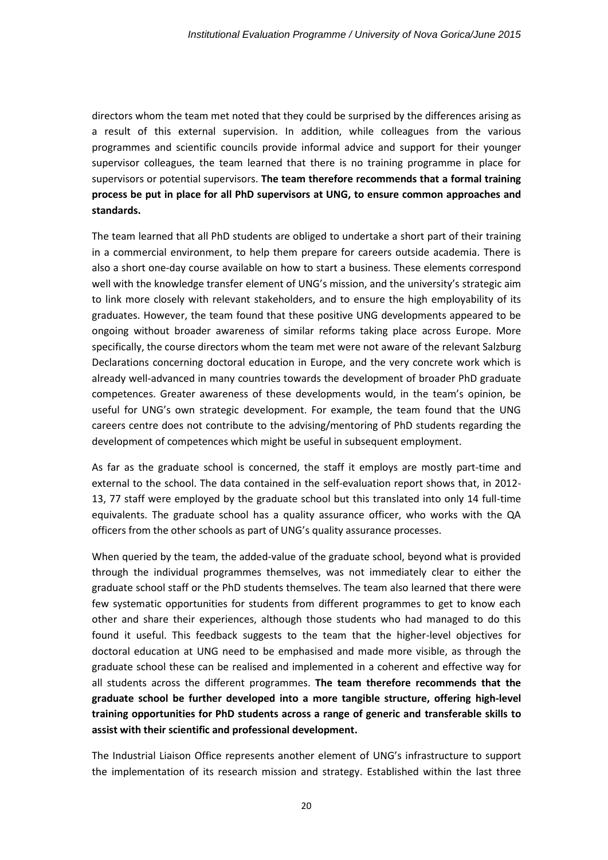directors whom the team met noted that they could be surprised by the differences arising as a result of this external supervision. In addition, while colleagues from the various programmes and scientific councils provide informal advice and support for their younger supervisor colleagues, the team learned that there is no training programme in place for supervisors or potential supervisors. **The team therefore recommends that a formal training process be put in place for all PhD supervisors at UNG, to ensure common approaches and standards.**

The team learned that all PhD students are obliged to undertake a short part of their training in a commercial environment, to help them prepare for careers outside academia. There is also a short one-day course available on how to start a business. These elements correspond well with the knowledge transfer element of UNG's mission, and the university's strategic aim to link more closely with relevant stakeholders, and to ensure the high employability of its graduates. However, the team found that these positive UNG developments appeared to be ongoing without broader awareness of similar reforms taking place across Europe. More specifically, the course directors whom the team met were not aware of the relevant Salzburg Declarations concerning doctoral education in Europe, and the very concrete work which is already well-advanced in many countries towards the development of broader PhD graduate competences. Greater awareness of these developments would, in the team's opinion, be useful for UNG's own strategic development. For example, the team found that the UNG careers centre does not contribute to the advising/mentoring of PhD students regarding the development of competences which might be useful in subsequent employment.

As far as the graduate school is concerned, the staff it employs are mostly part-time and external to the school. The data contained in the self-evaluation report shows that, in 2012- 13, 77 staff were employed by the graduate school but this translated into only 14 full-time equivalents. The graduate school has a quality assurance officer, who works with the QA officers from the other schools as part of UNG's quality assurance processes.

When queried by the team, the added-value of the graduate school, beyond what is provided through the individual programmes themselves, was not immediately clear to either the graduate school staff or the PhD students themselves. The team also learned that there were few systematic opportunities for students from different programmes to get to know each other and share their experiences, although those students who had managed to do this found it useful. This feedback suggests to the team that the higher-level objectives for doctoral education at UNG need to be emphasised and made more visible, as through the graduate school these can be realised and implemented in a coherent and effective way for all students across the different programmes. **The team therefore recommends that the graduate school be further developed into a more tangible structure, offering high-level training opportunities for PhD students across a range of generic and transferable skills to assist with their scientific and professional development.**

The Industrial Liaison Office represents another element of UNG's infrastructure to support the implementation of its research mission and strategy. Established within the last three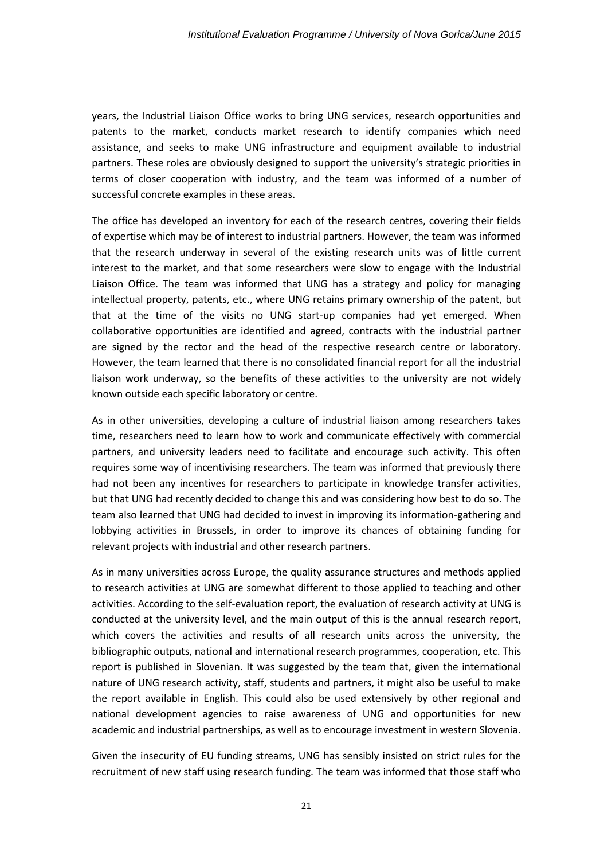years, the Industrial Liaison Office works to bring UNG services, research opportunities and patents to the market, conducts market research to identify companies which need assistance, and seeks to make UNG infrastructure and equipment available to industrial partners. These roles are obviously designed to support the university's strategic priorities in terms of closer cooperation with industry, and the team was informed of a number of successful concrete examples in these areas.

The office has developed an inventory for each of the research centres, covering their fields of expertise which may be of interest to industrial partners. However, the team was informed that the research underway in several of the existing research units was of little current interest to the market, and that some researchers were slow to engage with the Industrial Liaison Office. The team was informed that UNG has a strategy and policy for managing intellectual property, patents, etc., where UNG retains primary ownership of the patent, but that at the time of the visits no UNG start-up companies had yet emerged. When collaborative opportunities are identified and agreed, contracts with the industrial partner are signed by the rector and the head of the respective research centre or laboratory. However, the team learned that there is no consolidated financial report for all the industrial liaison work underway, so the benefits of these activities to the university are not widely known outside each specific laboratory or centre.

As in other universities, developing a culture of industrial liaison among researchers takes time, researchers need to learn how to work and communicate effectively with commercial partners, and university leaders need to facilitate and encourage such activity. This often requires some way of incentivising researchers. The team was informed that previously there had not been any incentives for researchers to participate in knowledge transfer activities, but that UNG had recently decided to change this and was considering how best to do so. The team also learned that UNG had decided to invest in improving its information-gathering and lobbying activities in Brussels, in order to improve its chances of obtaining funding for relevant projects with industrial and other research partners.

As in many universities across Europe, the quality assurance structures and methods applied to research activities at UNG are somewhat different to those applied to teaching and other activities. According to the self-evaluation report, the evaluation of research activity at UNG is conducted at the university level, and the main output of this is the annual research report, which covers the activities and results of all research units across the university, the bibliographic outputs, national and international research programmes, cooperation, etc. This report is published in Slovenian. It was suggested by the team that, given the international nature of UNG research activity, staff, students and partners, it might also be useful to make the report available in English. This could also be used extensively by other regional and national development agencies to raise awareness of UNG and opportunities for new academic and industrial partnerships, as well as to encourage investment in western Slovenia.

Given the insecurity of EU funding streams, UNG has sensibly insisted on strict rules for the recruitment of new staff using research funding. The team was informed that those staff who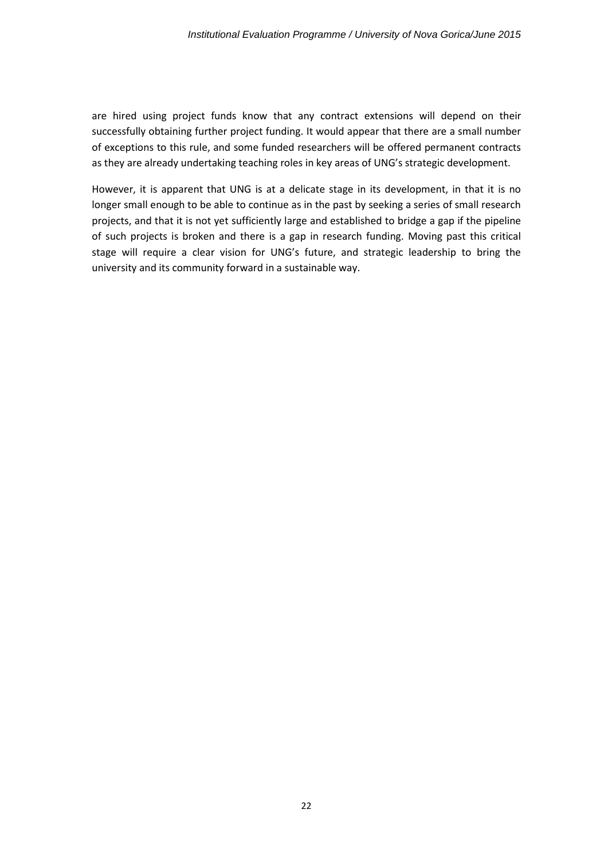are hired using project funds know that any contract extensions will depend on their successfully obtaining further project funding. It would appear that there are a small number of exceptions to this rule, and some funded researchers will be offered permanent contracts as they are already undertaking teaching roles in key areas of UNG's strategic development.

However, it is apparent that UNG is at a delicate stage in its development, in that it is no longer small enough to be able to continue as in the past by seeking a series of small research projects, and that it is not yet sufficiently large and established to bridge a gap if the pipeline of such projects is broken and there is a gap in research funding. Moving past this critical stage will require a clear vision for UNG's future, and strategic leadership to bring the university and its community forward in a sustainable way.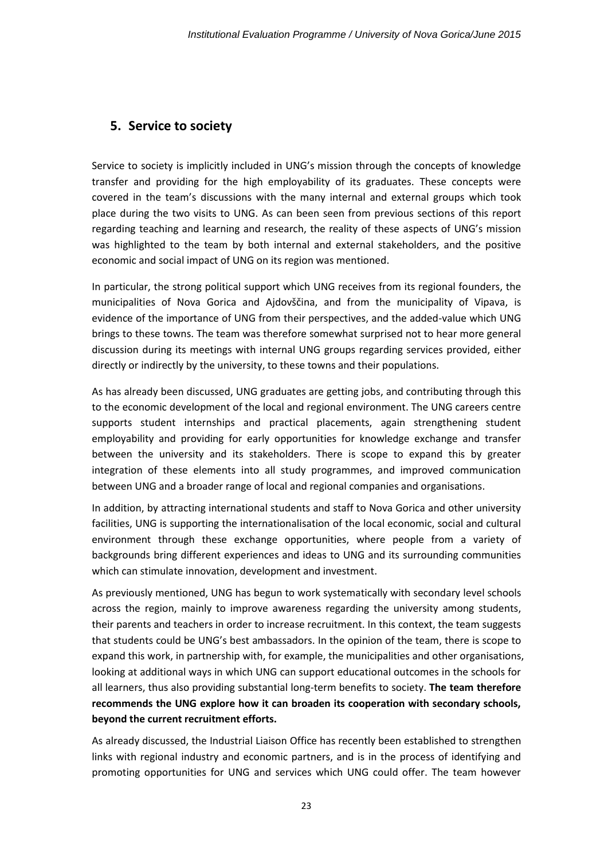# <span id="page-23-0"></span>**5. Service to society**

Service to society is implicitly included in UNG's mission through the concepts of knowledge transfer and providing for the high employability of its graduates. These concepts were covered in the team's discussions with the many internal and external groups which took place during the two visits to UNG. As can been seen from previous sections of this report regarding teaching and learning and research, the reality of these aspects of UNG's mission was highlighted to the team by both internal and external stakeholders, and the positive economic and social impact of UNG on its region was mentioned.

In particular, the strong political support which UNG receives from its regional founders, the municipalities of Nova Gorica and Ajdovščina, and from the municipality of Vipava, is evidence of the importance of UNG from their perspectives, and the added-value which UNG brings to these towns. The team was therefore somewhat surprised not to hear more general discussion during its meetings with internal UNG groups regarding services provided, either directly or indirectly by the university, to these towns and their populations.

As has already been discussed, UNG graduates are getting jobs, and contributing through this to the economic development of the local and regional environment. The UNG careers centre supports student internships and practical placements, again strengthening student employability and providing for early opportunities for knowledge exchange and transfer between the university and its stakeholders. There is scope to expand this by greater integration of these elements into all study programmes, and improved communication between UNG and a broader range of local and regional companies and organisations.

In addition, by attracting international students and staff to Nova Gorica and other university facilities, UNG is supporting the internationalisation of the local economic, social and cultural environment through these exchange opportunities, where people from a variety of backgrounds bring different experiences and ideas to UNG and its surrounding communities which can stimulate innovation, development and investment.

As previously mentioned, UNG has begun to work systematically with secondary level schools across the region, mainly to improve awareness regarding the university among students, their parents and teachers in order to increase recruitment. In this context, the team suggests that students could be UNG's best ambassadors. In the opinion of the team, there is scope to expand this work, in partnership with, for example, the municipalities and other organisations, looking at additional ways in which UNG can support educational outcomes in the schools for all learners, thus also providing substantial long-term benefits to society. **The team therefore recommends the UNG explore how it can broaden its cooperation with secondary schools, beyond the current recruitment efforts.**

As already discussed, the Industrial Liaison Office has recently been established to strengthen links with regional industry and economic partners, and is in the process of identifying and promoting opportunities for UNG and services which UNG could offer. The team however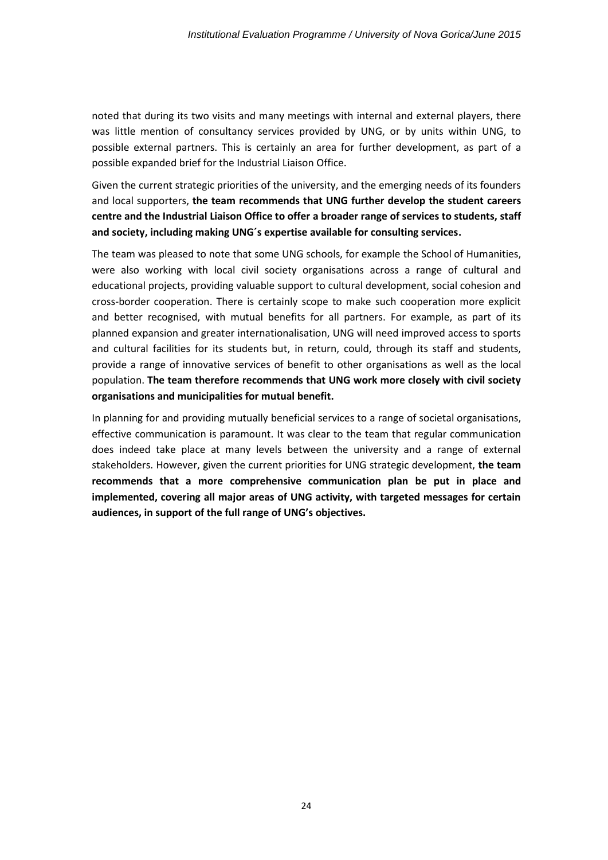noted that during its two visits and many meetings with internal and external players, there was little mention of consultancy services provided by UNG, or by units within UNG, to possible external partners. This is certainly an area for further development, as part of a possible expanded brief for the Industrial Liaison Office.

Given the current strategic priorities of the university, and the emerging needs of its founders and local supporters, **the team recommends that UNG further develop the student careers centre and the Industrial Liaison Office to offer a broader range of services to students, staff and society, including making UNG´s expertise available for consulting services.**

The team was pleased to note that some UNG schools, for example the School of Humanities, were also working with local civil society organisations across a range of cultural and educational projects, providing valuable support to cultural development, social cohesion and cross-border cooperation. There is certainly scope to make such cooperation more explicit and better recognised, with mutual benefits for all partners. For example, as part of its planned expansion and greater internationalisation, UNG will need improved access to sports and cultural facilities for its students but, in return, could, through its staff and students, provide a range of innovative services of benefit to other organisations as well as the local population. **The team therefore recommends that UNG work more closely with civil society organisations and municipalities for mutual benefit.**

In planning for and providing mutually beneficial services to a range of societal organisations, effective communication is paramount. It was clear to the team that regular communication does indeed take place at many levels between the university and a range of external stakeholders. However, given the current priorities for UNG strategic development, **the team recommends that a more comprehensive communication plan be put in place and implemented, covering all major areas of UNG activity, with targeted messages for certain audiences, in support of the full range of UNG's objectives.**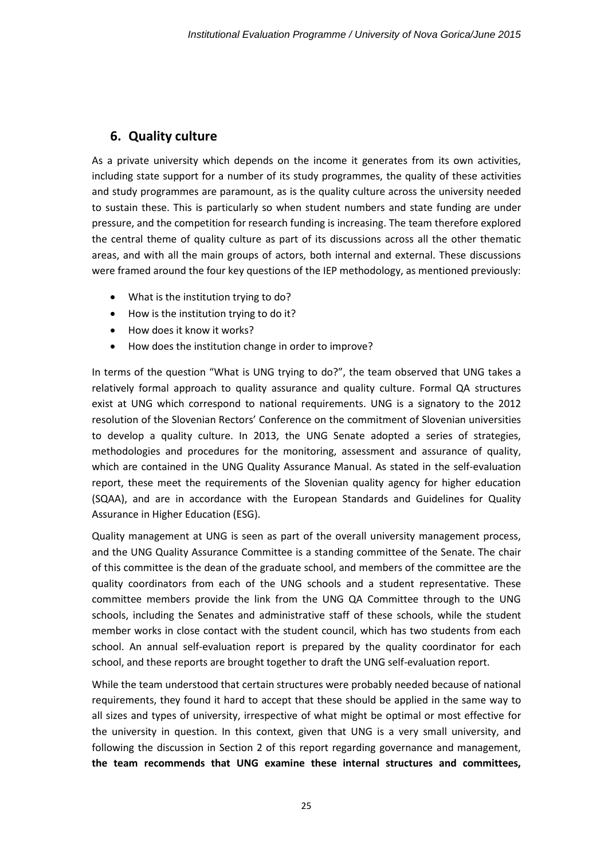# <span id="page-25-0"></span>**6. Quality culture**

As a private university which depends on the income it generates from its own activities, including state support for a number of its study programmes, the quality of these activities and study programmes are paramount, as is the quality culture across the university needed to sustain these. This is particularly so when student numbers and state funding are under pressure, and the competition for research funding is increasing. The team therefore explored the central theme of quality culture as part of its discussions across all the other thematic areas, and with all the main groups of actors, both internal and external. These discussions were framed around the four key questions of the IEP methodology, as mentioned previously:

- What is the institution trying to do?
- How is the institution trying to do it?
- How does it know it works?
- How does the institution change in order to improve?

In terms of the question "What is UNG trying to do?", the team observed that UNG takes a relatively formal approach to quality assurance and quality culture. Formal QA structures exist at UNG which correspond to national requirements. UNG is a signatory to the 2012 resolution of the Slovenian Rectors' Conference on the commitment of Slovenian universities to develop a quality culture. In 2013, the UNG Senate adopted a series of strategies, methodologies and procedures for the monitoring, assessment and assurance of quality, which are contained in the UNG Quality Assurance Manual. As stated in the self-evaluation report, these meet the requirements of the Slovenian quality agency for higher education (SQAA), and are in accordance with the European Standards and Guidelines for Quality Assurance in Higher Education (ESG).

Quality management at UNG is seen as part of the overall university management process, and the UNG Quality Assurance Committee is a standing committee of the Senate. The chair of this committee is the dean of the graduate school, and members of the committee are the quality coordinators from each of the UNG schools and a student representative. These committee members provide the link from the UNG QA Committee through to the UNG schools, including the Senates and administrative staff of these schools, while the student member works in close contact with the student council, which has two students from each school. An annual self-evaluation report is prepared by the quality coordinator for each school, and these reports are brought together to draft the UNG self-evaluation report.

While the team understood that certain structures were probably needed because of national requirements, they found it hard to accept that these should be applied in the same way to all sizes and types of university, irrespective of what might be optimal or most effective for the university in question. In this context, given that UNG is a very small university, and following the discussion in Section 2 of this report regarding governance and management, **the team recommends that UNG examine these internal structures and committees,**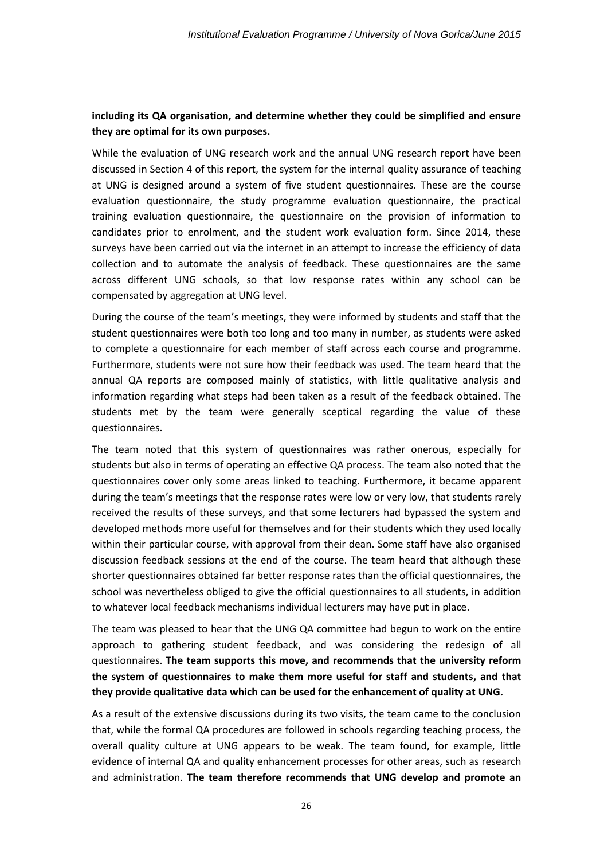### **including its QA organisation, and determine whether they could be simplified and ensure they are optimal for its own purposes.**

While the evaluation of UNG research work and the annual UNG research report have been discussed in Section 4 of this report, the system for the internal quality assurance of teaching at UNG is designed around a system of five student questionnaires. These are the course evaluation questionnaire, the study programme evaluation questionnaire, the practical training evaluation questionnaire, the questionnaire on the provision of information to candidates prior to enrolment, and the student work evaluation form. Since 2014, these surveys have been carried out via the internet in an attempt to increase the efficiency of data collection and to automate the analysis of feedback. These questionnaires are the same across different UNG schools, so that low response rates within any school can be compensated by aggregation at UNG level.

During the course of the team's meetings, they were informed by students and staff that the student questionnaires were both too long and too many in number, as students were asked to complete a questionnaire for each member of staff across each course and programme. Furthermore, students were not sure how their feedback was used. The team heard that the annual QA reports are composed mainly of statistics, with little qualitative analysis and information regarding what steps had been taken as a result of the feedback obtained. The students met by the team were generally sceptical regarding the value of these questionnaires.

The team noted that this system of questionnaires was rather onerous, especially for students but also in terms of operating an effective QA process. The team also noted that the questionnaires cover only some areas linked to teaching. Furthermore, it became apparent during the team's meetings that the response rates were low or very low, that students rarely received the results of these surveys, and that some lecturers had bypassed the system and developed methods more useful for themselves and for their students which they used locally within their particular course, with approval from their dean. Some staff have also organised discussion feedback sessions at the end of the course. The team heard that although these shorter questionnaires obtained far better response rates than the official questionnaires, the school was nevertheless obliged to give the official questionnaires to all students, in addition to whatever local feedback mechanisms individual lecturers may have put in place.

The team was pleased to hear that the UNG QA committee had begun to work on the entire approach to gathering student feedback, and was considering the redesign of all questionnaires. **The team supports this move, and recommends that the university reform the system of questionnaires to make them more useful for staff and students, and that they provide qualitative data which can be used for the enhancement of quality at UNG.**

As a result of the extensive discussions during its two visits, the team came to the conclusion that, while the formal QA procedures are followed in schools regarding teaching process, the overall quality culture at UNG appears to be weak. The team found, for example, little evidence of internal QA and quality enhancement processes for other areas, such as research and administration. **The team therefore recommends that UNG develop and promote an**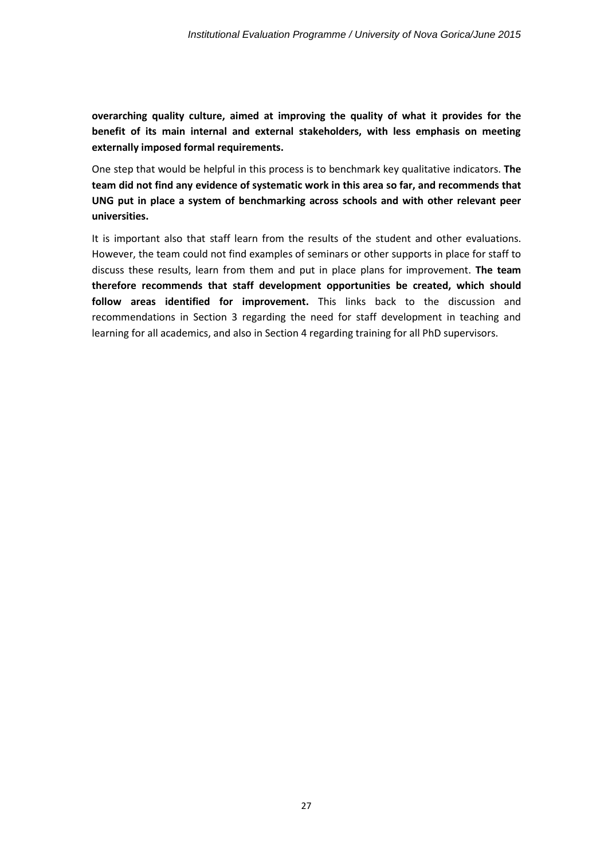**overarching quality culture, aimed at improving the quality of what it provides for the benefit of its main internal and external stakeholders, with less emphasis on meeting externally imposed formal requirements.**

One step that would be helpful in this process is to benchmark key qualitative indicators. **The team did not find any evidence of systematic work in this area so far, and recommends that UNG put in place a system of benchmarking across schools and with other relevant peer universities.**

It is important also that staff learn from the results of the student and other evaluations. However, the team could not find examples of seminars or other supports in place for staff to discuss these results, learn from them and put in place plans for improvement. **The team therefore recommends that staff development opportunities be created, which should follow areas identified for improvement.** This links back to the discussion and recommendations in Section 3 regarding the need for staff development in teaching and learning for all academics, and also in Section 4 regarding training for all PhD supervisors.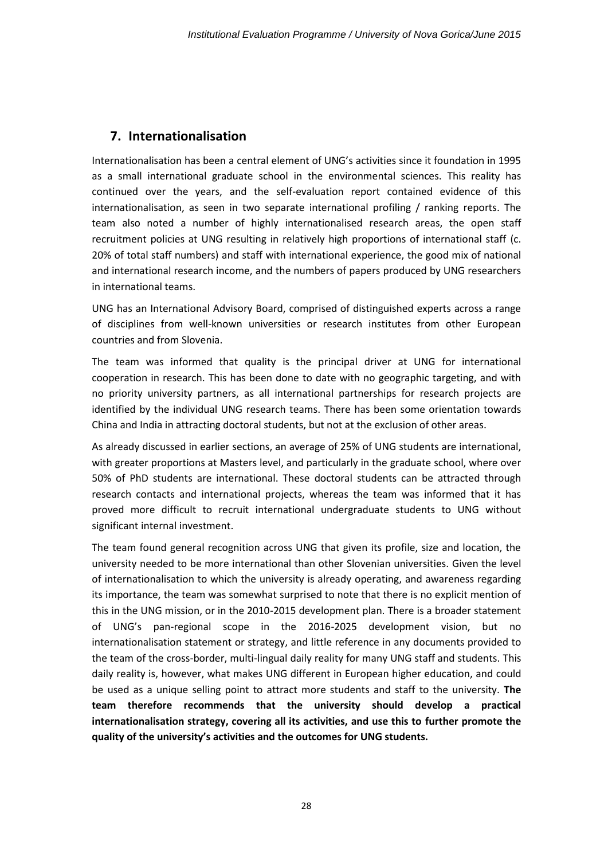## <span id="page-28-0"></span>**7. Internationalisation**

Internationalisation has been a central element of UNG's activities since it foundation in 1995 as a small international graduate school in the environmental sciences. This reality has continued over the years, and the self-evaluation report contained evidence of this internationalisation, as seen in two separate international profiling / ranking reports. The team also noted a number of highly internationalised research areas, the open staff recruitment policies at UNG resulting in relatively high proportions of international staff (c. 20% of total staff numbers) and staff with international experience, the good mix of national and international research income, and the numbers of papers produced by UNG researchers in international teams.

UNG has an International Advisory Board, comprised of distinguished experts across a range of disciplines from well-known universities or research institutes from other European countries and from Slovenia.

The team was informed that quality is the principal driver at UNG for international cooperation in research. This has been done to date with no geographic targeting, and with no priority university partners, as all international partnerships for research projects are identified by the individual UNG research teams. There has been some orientation towards China and India in attracting doctoral students, but not at the exclusion of other areas.

As already discussed in earlier sections, an average of 25% of UNG students are international, with greater proportions at Masters level, and particularly in the graduate school, where over 50% of PhD students are international. These doctoral students can be attracted through research contacts and international projects, whereas the team was informed that it has proved more difficult to recruit international undergraduate students to UNG without significant internal investment.

The team found general recognition across UNG that given its profile, size and location, the university needed to be more international than other Slovenian universities. Given the level of internationalisation to which the university is already operating, and awareness regarding its importance, the team was somewhat surprised to note that there is no explicit mention of this in the UNG mission, or in the 2010-2015 development plan. There is a broader statement of UNG's pan-regional scope in the 2016-2025 development vision, but no internationalisation statement or strategy, and little reference in any documents provided to the team of the cross-border, multi-lingual daily reality for many UNG staff and students. This daily reality is, however, what makes UNG different in European higher education, and could be used as a unique selling point to attract more students and staff to the university. **The team therefore recommends that the university should develop a practical internationalisation strategy, covering all its activities, and use this to further promote the quality of the university's activities and the outcomes for UNG students.**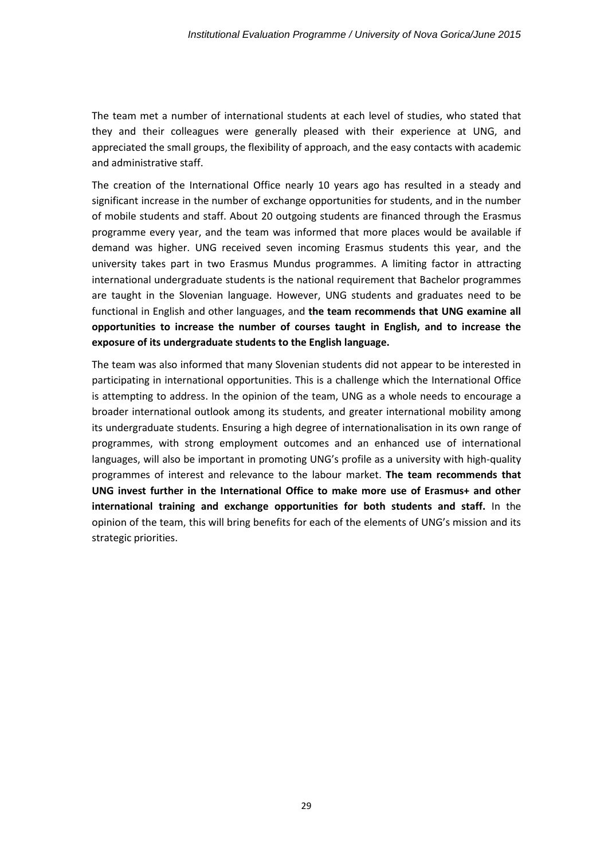The team met a number of international students at each level of studies, who stated that they and their colleagues were generally pleased with their experience at UNG, and appreciated the small groups, the flexibility of approach, and the easy contacts with academic and administrative staff.

The creation of the International Office nearly 10 years ago has resulted in a steady and significant increase in the number of exchange opportunities for students, and in the number of mobile students and staff. About 20 outgoing students are financed through the Erasmus programme every year, and the team was informed that more places would be available if demand was higher. UNG received seven incoming Erasmus students this year, and the university takes part in two Erasmus Mundus programmes. A limiting factor in attracting international undergraduate students is the national requirement that Bachelor programmes are taught in the Slovenian language. However, UNG students and graduates need to be functional in English and other languages, and **the team recommends that UNG examine all opportunities to increase the number of courses taught in English, and to increase the exposure of its undergraduate students to the English language.**

The team was also informed that many Slovenian students did not appear to be interested in participating in international opportunities. This is a challenge which the International Office is attempting to address. In the opinion of the team, UNG as a whole needs to encourage a broader international outlook among its students, and greater international mobility among its undergraduate students. Ensuring a high degree of internationalisation in its own range of programmes, with strong employment outcomes and an enhanced use of international languages, will also be important in promoting UNG's profile as a university with high-quality programmes of interest and relevance to the labour market. **The team recommends that UNG invest further in the International Office to make more use of Erasmus+ and other international training and exchange opportunities for both students and staff.** In the opinion of the team, this will bring benefits for each of the elements of UNG's mission and its strategic priorities.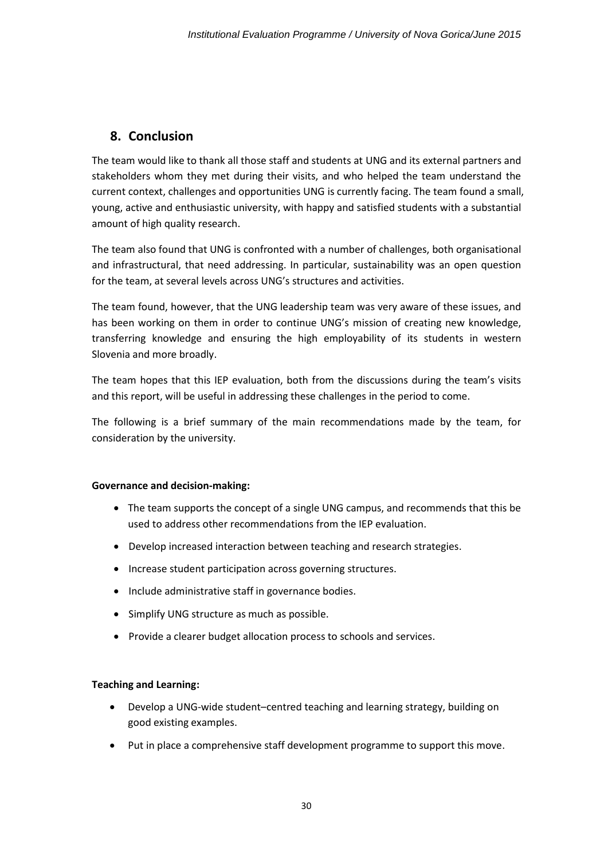# <span id="page-30-0"></span>**8. Conclusion**

The team would like to thank all those staff and students at UNG and its external partners and stakeholders whom they met during their visits, and who helped the team understand the current context, challenges and opportunities UNG is currently facing. The team found a small, young, active and enthusiastic university, with happy and satisfied students with a substantial amount of high quality research.

The team also found that UNG is confronted with a number of challenges, both organisational and infrastructural, that need addressing. In particular, sustainability was an open question for the team, at several levels across UNG's structures and activities.

The team found, however, that the UNG leadership team was very aware of these issues, and has been working on them in order to continue UNG's mission of creating new knowledge, transferring knowledge and ensuring the high employability of its students in western Slovenia and more broadly.

The team hopes that this IEP evaluation, both from the discussions during the team's visits and this report, will be useful in addressing these challenges in the period to come.

The following is a brief summary of the main recommendations made by the team, for consideration by the university.

#### **Governance and decision-making:**

- The team supports the concept of a single UNG campus, and recommends that this be used to address other recommendations from the IEP evaluation.
- Develop increased interaction between teaching and research strategies.
- Increase student participation across governing structures.
- Include administrative staff in governance bodies.
- Simplify UNG structure as much as possible.
- Provide a clearer budget allocation process to schools and services.

#### **Teaching and Learning:**

- Develop a UNG-wide student–centred teaching and learning strategy, building on good existing examples.
- Put in place a comprehensive staff development programme to support this move.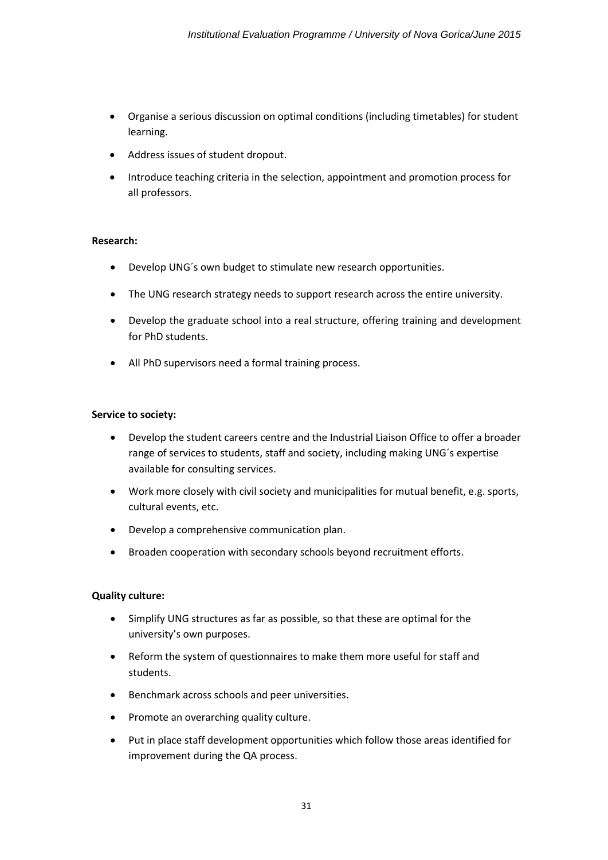- Organise a serious discussion on optimal conditions (including timetables) for student learning.
- Address issues of student dropout.
- Introduce teaching criteria in the selection, appointment and promotion process for all professors.

#### **Research:**

- Develop UNG´s own budget to stimulate new research opportunities.
- The UNG research strategy needs to support research across the entire university.
- Develop the graduate school into a real structure, offering training and development for PhD students.
- All PhD supervisors need a formal training process.

#### **Service to society:**

- Develop the student careers centre and the Industrial Liaison Office to offer a broader range of services to students, staff and society, including making UNG´s expertise available for consulting services.
- Work more closely with civil society and municipalities for mutual benefit, e.g. sports, cultural events, etc.
- Develop a comprehensive communication plan.
- Broaden cooperation with secondary schools beyond recruitment efforts.

#### **Quality culture:**

- Simplify UNG structures as far as possible, so that these are optimal for the university's own purposes.
- Reform the system of questionnaires to make them more useful for staff and students.
- **•** Benchmark across schools and peer universities.
- Promote an overarching quality culture.
- Put in place staff development opportunities which follow those areas identified for improvement during the QA process.